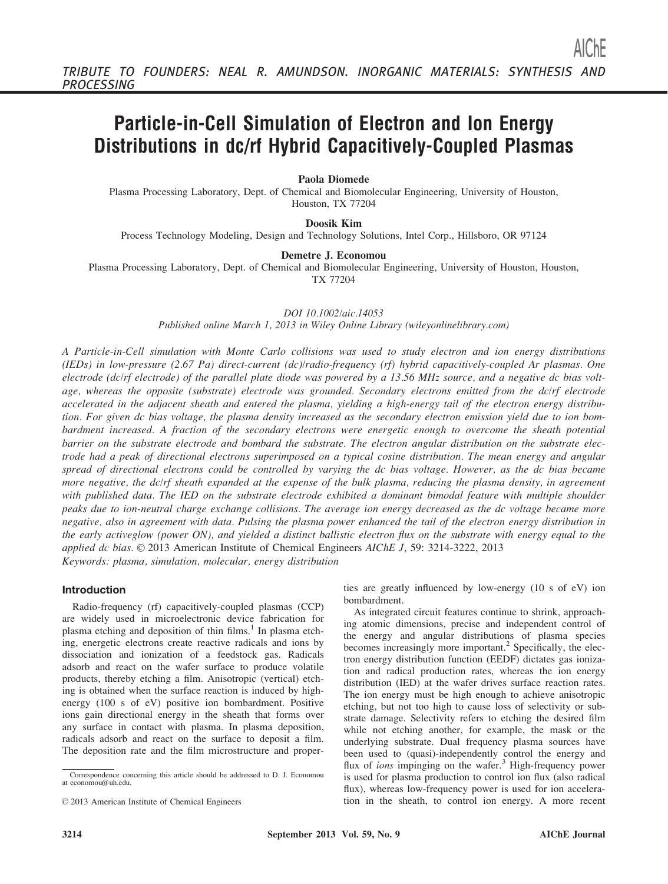# Particle-in-Cell Simulation of Electron and Ion Energy Distributions in dc/rf Hybrid Capacitively-Coupled Plasmas

Paola Diomede

Plasma Processing Laboratory, Dept. of Chemical and Biomolecular Engineering, University of Houston, Houston, TX 77204

Doosik Kim

Process Technology Modeling, Design and Technology Solutions, Intel Corp., Hillsboro, OR 97124

# Demetre J. Economou

Plasma Processing Laboratory, Dept. of Chemical and Biomolecular Engineering, University of Houston, Houston,

TX 77204

#### DOI 10.1002/aic.14053

Published online March 1, 2013 in Wiley Online Library (wileyonlinelibrary.com)

A Particle-in-Cell simulation with Monte Carlo collisions was used to study electron and ion energy distributions (IEDs) in low-pressure (2.67 Pa) direct-current (dc)/radio-frequency (rf) hybrid capacitively-coupled Ar plasmas. One electrode (dc/rf electrode) of the parallel plate diode was powered by a 13.56 MHz source, and a negative dc bias voltage, whereas the opposite (substrate) electrode was grounded. Secondary electrons emitted from the dc/rf electrode accelerated in the adjacent sheath and entered the plasma, yielding a high-energy tail of the electron energy distribution. For given dc bias voltage, the plasma density increased as the secondary electron emission yield due to ion bombardment increased. A fraction of the secondary electrons were energetic enough to overcome the sheath potential barrier on the substrate electrode and bombard the substrate. The electron angular distribution on the substrate electrode had a peak of directional electrons superimposed on a typical cosine distribution. The mean energy and angular spread of directional electrons could be controlled by varying the dc bias voltage. However, as the dc bias became more negative, the dc/rf sheath expanded at the expense of the bulk plasma, reducing the plasma density, in agreement with published data. The IED on the substrate electrode exhibited a dominant bimodal feature with multiple shoulder peaks due to ion-neutral charge exchange collisions. The average ion energy decreased as the dc voltage became more negative, also in agreement with data. Pulsing the plasma power enhanced the tail of the electron energy distribution in the early activeglow (power ON), and yielded a distinct ballistic electron flux on the substrate with energy equal to the applied dc bias.  $\odot$  2013 American Institute of Chemical Engineers AIChE J, 59: 3214-3222, 2013 Keywords: plasma, simulation, molecular, energy distribution

# Introduction

Radio-frequency (rf) capacitively-coupled plasmas (CCP) are widely used in microelectronic device fabrication for plasma etching and deposition of thin films.<sup>1</sup> In plasma etching, energetic electrons create reactive radicals and ions by dissociation and ionization of a feedstock gas. Radicals adsorb and react on the wafer surface to produce volatile products, thereby etching a film. Anisotropic (vertical) etching is obtained when the surface reaction is induced by highenergy (100 s of eV) positive ion bombardment. Positive ions gain directional energy in the sheath that forms over any surface in contact with plasma. In plasma deposition, radicals adsorb and react on the surface to deposit a film. The deposition rate and the film microstructure and properties are greatly influenced by low-energy (10 s of eV) ion bombardment.

As integrated circuit features continue to shrink, approaching atomic dimensions, precise and independent control of the energy and angular distributions of plasma species becomes increasingly more important.<sup>2</sup> Specifically, the electron energy distribution function (EEDF) dictates gas ionization and radical production rates, whereas the ion energy distribution (IED) at the wafer drives surface reaction rates. The ion energy must be high enough to achieve anisotropic etching, but not too high to cause loss of selectivity or substrate damage. Selectivity refers to etching the desired film while not etching another, for example, the mask or the underlying substrate. Dual frequency plasma sources have been used to (quasi)-independently control the energy and flux of *ions* impinging on the wafer.<sup>3</sup> High-frequency power is used for plasma production to control ion flux (also radical flux), whereas low-frequency power is used for ion acceleration in the sheath, to control ion energy. A more recent

Correspondence concerning this article should be addressed to D. J. Economou at economou@uh.edu.

 $© 2013$  American Institute of Chemical Engineers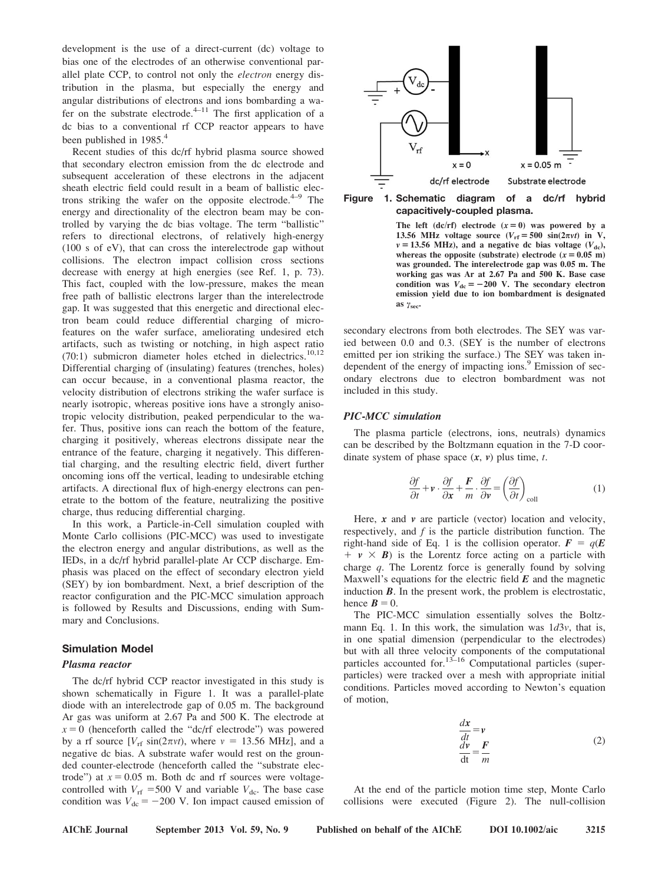development is the use of a direct-current (dc) voltage to bias one of the electrodes of an otherwise conventional parallel plate CCP, to control not only the *electron* energy distribution in the plasma, but especially the energy and angular distributions of electrons and ions bombarding a wafer on the substrate electrode.<sup> $4-11$ </sup> The first application of a dc bias to a conventional rf CCP reactor appears to have been published in 1985.<sup>4</sup>

Recent studies of this dc/rf hybrid plasma source showed that secondary electron emission from the dc electrode and subsequent acceleration of these electrons in the adjacent sheath electric field could result in a beam of ballistic electrons striking the wafer on the opposite electrode. $4-9$  The energy and directionality of the electron beam may be controlled by varying the dc bias voltage. The term "ballistic" refers to directional electrons, of relatively high-energy (100 s of eV), that can cross the interelectrode gap without collisions. The electron impact collision cross sections decrease with energy at high energies (see Ref. 1, p. 73). This fact, coupled with the low-pressure, makes the mean free path of ballistic electrons larger than the interelectrode gap. It was suggested that this energetic and directional electron beam could reduce differential charging of microfeatures on the wafer surface, ameliorating undesired etch artifacts, such as twisting or notching, in high aspect ratio  $(70:1)$  submicron diameter holes etched in dielectrics.<sup>10,12</sup> Differential charging of (insulating) features (trenches, holes) can occur because, in a conventional plasma reactor, the velocity distribution of electrons striking the wafer surface is nearly isotropic, whereas positive ions have a strongly anisotropic velocity distribution, peaked perpendicular to the wafer. Thus, positive ions can reach the bottom of the feature, charging it positively, whereas electrons dissipate near the entrance of the feature, charging it negatively. This differential charging, and the resulting electric field, divert further oncoming ions off the vertical, leading to undesirable etching artifacts. A directional flux of high-energy electrons can penetrate to the bottom of the feature, neutralizing the positive charge, thus reducing differential charging.

In this work, a Particle-in-Cell simulation coupled with Monte Carlo collisions (PIC-MCC) was used to investigate the electron energy and angular distributions, as well as the IEDs, in a dc/rf hybrid parallel-plate Ar CCP discharge. Emphasis was placed on the effect of secondary electron yield (SEY) by ion bombardment. Next, a brief description of the reactor configuration and the PIC-MCC simulation approach is followed by Results and Discussions, ending with Summary and Conclusions.

## Simulation Model

#### Plasma reactor

The dc/rf hybrid CCP reactor investigated in this study is shown schematically in Figure 1. It was a parallel-plate diode with an interelectrode gap of 0.05 m. The background Ar gas was uniform at 2.67 Pa and 500 K. The electrode at  $x = 0$  (henceforth called the "dc/rf electrode") was powered by a rf source  $[V_{\text{rf}} \sin(2\pi vt)$ , where  $v = 13.56 \text{ MHz}$ , and a negative dc bias. A substrate wafer would rest on the grounded counter-electrode (henceforth called the "substrate electrode") at  $x = 0.05$  m. Both dc and rf sources were voltagecontrolled with  $V_{\text{rf}}$  = 500 V and variable  $V_{\text{dc}}$ . The base case condition was  $V_{\text{dc}} = -200$  V. Ion impact caused emission of



Figure 1. Schematic diagram of a dc/rf hybrid capacitively-coupled plasma.

The left  $(dc/rf)$  electrode  $(x = 0)$  was powered by a 13.56 MHz voltage source  $(V_{\text{rf}} = 500 \sin(2\pi vt)$  in V,  $v = 13.56$  MHz), and a negative dc bias voltage ( $V_{\text{dc}}$ ), whereas the opposite (substrate) electrode  $(x = 0.05 \text{ m})$ was grounded. The interelectrode gap was 0.05 m. The working gas was Ar at 2.67 Pa and 500 K. Base case condition was  $V_{\text{dc}} = -200$  V. The secondary electron emission yield due to ion bombardment is designated as  $\gamma$ sec-

secondary electrons from both electrodes. The SEY was varied between 0.0 and 0.3. (SEY is the number of electrons emitted per ion striking the surface.) The SEY was taken independent of the energy of impacting ions.<sup>9</sup> Emission of secondary electrons due to electron bombardment was not included in this study.

#### PIC-MCC simulation

The plasma particle (electrons, ions, neutrals) dynamics can be described by the Boltzmann equation in the 7-D coordinate system of phase space  $(x, v)$  plus time, t.

$$
\frac{\partial f}{\partial t} + \mathbf{v} \cdot \frac{\partial f}{\partial \mathbf{x}} + \frac{\mathbf{F}}{m} \cdot \frac{\partial f}{\partial \mathbf{v}} = \left(\frac{\partial f}{\partial t}\right)_{\text{coll}} \tag{1}
$$

Here,  $x$  and  $v$  are particle (vector) location and velocity, respectively, and  $f$  is the particle distribution function. The right-hand side of Eq. 1 is the collision operator.  $\mathbf{F} = q(\mathbf{E})$  $+ v \times B$ ) is the Lorentz force acting on a particle with charge  $q$ . The Lorentz force is generally found by solving Maxwell's equations for the electric field  $E$  and the magnetic induction  $\bm{B}$ . In the present work, the problem is electrostatic, hence  $\mathbf{B} = 0$ .

The PIC-MCC simulation essentially solves the Boltzmann Eq. 1. In this work, the simulation was  $1d3v$ , that is, in one spatial dimension (perpendicular to the electrodes) but with all three velocity components of the computational particles accounted for.<sup>13-16</sup> Computational particles (superparticles) were tracked over a mesh with appropriate initial conditions. Particles moved according to Newton's equation of motion,

$$
\frac{dx}{dt} = v
$$
\n
$$
\frac{dv}{dt} = \frac{F}{m}
$$
\n(2)

At the end of the particle motion time step, Monte Carlo collisions were executed (Figure 2). The null-collision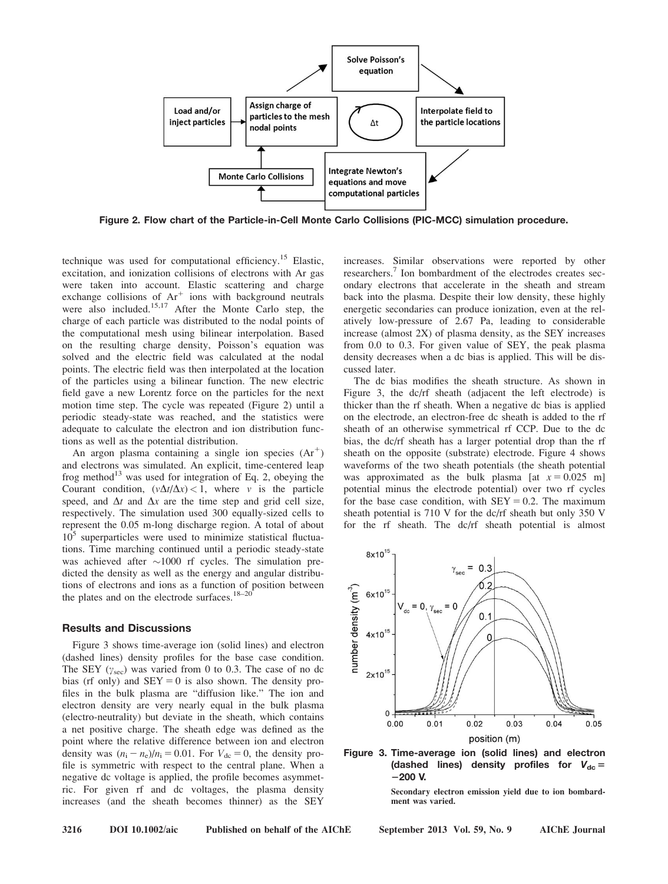

Figure 2. Flow chart of the Particle-in-Cell Monte Carlo Collisions (PIC-MCC) simulation procedure.

technique was used for computational efficiency.<sup>15</sup> Elastic, excitation, and ionization collisions of electrons with Ar gas were taken into account. Elastic scattering and charge exchange collisions of  $Ar^+$  ions with background neutrals were also included.<sup>15,17</sup> After the Monte Carlo step, the charge of each particle was distributed to the nodal points of the computational mesh using bilinear interpolation. Based on the resulting charge density, Poisson's equation was solved and the electric field was calculated at the nodal points. The electric field was then interpolated at the location of the particles using a bilinear function. The new electric field gave a new Lorentz force on the particles for the next motion time step. The cycle was repeated (Figure 2) until a periodic steady-state was reached, and the statistics were adequate to calculate the electron and ion distribution functions as well as the potential distribution.

An argon plasma containing a single ion species  $(Ar^+)$ and electrons was simulated. An explicit, time-centered leap frog method<sup>13</sup> was used for integration of Eq. 2, obeying the Courant condition,  $(v\Delta t/\Delta x) < 1$ , where v is the particle speed, and  $\Delta t$  and  $\Delta x$  are the time step and grid cell size, respectively. The simulation used 300 equally-sized cells to represent the 0.05 m-long discharge region. A total of about  $10<sup>5</sup>$  superparticles were used to minimize statistical fluctuations. Time marching continued until a periodic steady-state was achieved after  $\sim$ 1000 rf cycles. The simulation predicted the density as well as the energy and angular distributions of electrons and ions as a function of position between the plates and on the electrode surfaces. $18-20$ 

#### Results and Discussions

Figure 3 shows time-average ion (solid lines) and electron (dashed lines) density profiles for the base case condition. The SEY ( $\gamma_{\text{sec}}$ ) was varied from 0 to 0.3. The case of no dc bias (rf only) and  $SEY = 0$  is also shown. The density profiles in the bulk plasma are "diffusion like." The ion and electron density are very nearly equal in the bulk plasma (electro-neutrality) but deviate in the sheath, which contains a net positive charge. The sheath edge was defined as the point where the relative difference between ion and electron density was  $(n_i - n_e)/n_i = 0.01$ . For  $V_{dc} = 0$ , the density profile is symmetric with respect to the central plane. When a negative dc voltage is applied, the profile becomes asymmetric. For given rf and dc voltages, the plasma density increases (and the sheath becomes thinner) as the SEY increases. Similar observations were reported by other researchers.<sup>7</sup> Ion bombardment of the electrodes creates secondary electrons that accelerate in the sheath and stream back into the plasma. Despite their low density, these highly energetic secondaries can produce ionization, even at the relatively low-pressure of 2.67 Pa, leading to considerable increase (almost 2X) of plasma density, as the SEY increases from 0.0 to 0.3. For given value of SEY, the peak plasma density decreases when a dc bias is applied. This will be discussed later.

The dc bias modifies the sheath structure. As shown in Figure 3, the dc/rf sheath (adjacent the left electrode) is thicker than the rf sheath. When a negative dc bias is applied on the electrode, an electron-free dc sheath is added to the rf sheath of an otherwise symmetrical rf CCP. Due to the dc bias, the dc/rf sheath has a larger potential drop than the rf sheath on the opposite (substrate) electrode. Figure 4 shows waveforms of the two sheath potentials (the sheath potential was approximated as the bulk plasma [at  $x = 0.025$  m] potential minus the electrode potential) over two rf cycles for the base case condition, with  $SEY = 0.2$ . The maximum sheath potential is 710 V for the dc/rf sheath but only 350 V for the rf sheath. The dc/rf sheath potential is almost



Figure 3. Time-average ion (solid lines) and electron (dashed lines) density profiles for  $V_{dc}$  =  $-200$  V.

Secondary electron emission yield due to ion bombardment was varied.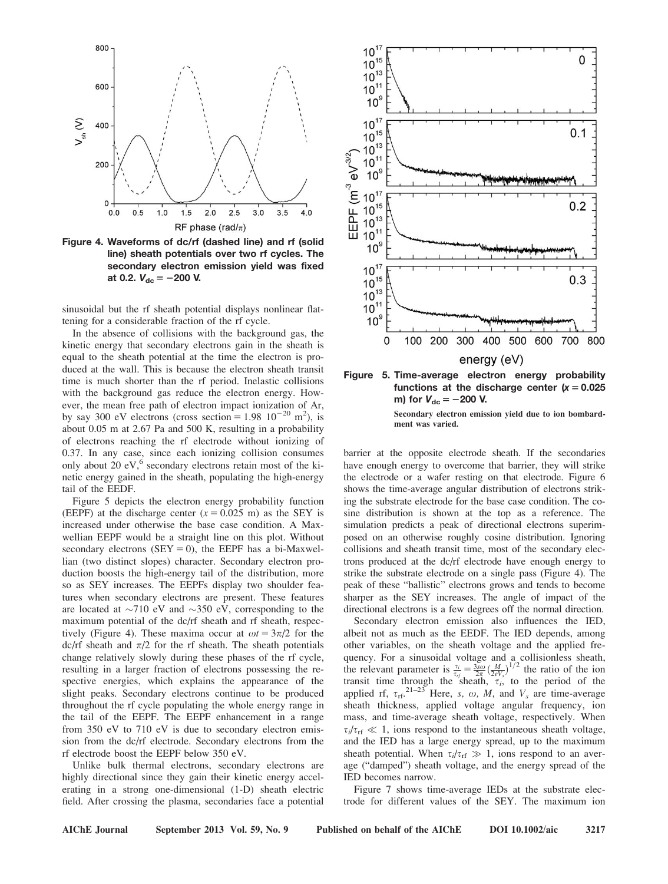

Figure 4. Waveforms of dc/rf (dashed line) and rf (solid line) sheath potentials over two rf cycles. The secondary electron emission yield was fixed at 0.2.  $V_{\text{dc}} = -200$  V.

sinusoidal but the rf sheath potential displays nonlinear flattening for a considerable fraction of the rf cycle.

In the absence of collisions with the background gas, the kinetic energy that secondary electrons gain in the sheath is equal to the sheath potential at the time the electron is produced at the wall. This is because the electron sheath transit time is much shorter than the rf period. Inelastic collisions with the background gas reduce the electron energy. However, the mean free path of electron impact ionization of Ar, by say 300 eV electrons (cross section =  $1.98 \, 10^{-20} \, \text{m}^2$ ), is about 0.05 m at 2.67 Pa and 500 K, resulting in a probability of electrons reaching the rf electrode without ionizing of 0.37. In any case, since each ionizing collision consumes only about 20  $eV$ , secondary electrons retain most of the kinetic energy gained in the sheath, populating the high-energy tail of the EEDF.

Figure 5 depicts the electron energy probability function (EEPF) at the discharge center  $(x = 0.025 \text{ m})$  as the SEY is increased under otherwise the base case condition. A Maxwellian EEPF would be a straight line on this plot. Without secondary electrons ( $SEY = 0$ ), the EEPF has a bi-Maxwellian (two distinct slopes) character. Secondary electron production boosts the high-energy tail of the distribution, more so as SEY increases. The EEPFs display two shoulder features when secondary electrons are present. These features are located at  $\sim$ 710 eV and  $\sim$ 350 eV, corresponding to the maximum potential of the dc/rf sheath and rf sheath, respectively (Figure 4). These maxima occur at  $\omega t = 3\pi/2$  for the dc/rf sheath and  $\pi/2$  for the rf sheath. The sheath potentials change relatively slowly during these phases of the rf cycle, resulting in a larger fraction of electrons possessing the respective energies, which explains the appearance of the slight peaks. Secondary electrons continue to be produced throughout the rf cycle populating the whole energy range in the tail of the EEPF. The EEPF enhancement in a range from 350 eV to 710 eV is due to secondary electron emission from the dc/rf electrode. Secondary electrons from the rf electrode boost the EEPF below 350 eV.

Unlike bulk thermal electrons, secondary electrons are highly directional since they gain their kinetic energy accelerating in a strong one-dimensional (1-D) sheath electric field. After crossing the plasma, secondaries face a potential



Figure 5. Time-average electron energy probability functions at the discharge center  $(x = 0.025$ m) for  $V_{\text{dc}} = -200$  V.

Secondary electron emission yield due to ion bombardment was varied.

barrier at the opposite electrode sheath. If the secondaries have enough energy to overcome that barrier, they will strike the electrode or a wafer resting on that electrode. Figure 6 shows the time-average angular distribution of electrons striking the substrate electrode for the base case condition. The cosine distribution is shown at the top as a reference. The simulation predicts a peak of directional electrons superimposed on an otherwise roughly cosine distribution. Ignoring collisions and sheath transit time, most of the secondary electrons produced at the dc/rf electrode have enough energy to strike the substrate electrode on a single pass (Figure 4). The peak of these "ballistic" electrons grows and tends to become sharper as the SEY increases. The angle of impact of the directional electrons is a few degrees off the normal direction.

Secondary electron emission also influences the IED, albeit not as much as the EEDF. The IED depends, among other variables, on the sheath voltage and the applied frequency. For a sinusoidal voltage and a collisionless sheath, the relevant parameter is  $\frac{\tau_i}{\tau_{rf}} = \frac{3s\omega}{2\pi} \left(\frac{M}{2eV_s}\right)^{1/2}$  the ratio of the ion transit time through the sheath,  $\tau_i$ , to the period of the applied rf,  $\tau_{\text{rf}}^{21-23}$  Here, s,  $\omega$ , M, and  $V_s$  are time-average sheath thickness, applied voltage angular frequency, ion mass, and time-average sheath voltage, respectively. When  $\tau_i/\tau_{\rm rf} \ll 1$ , ions respond to the instantaneous sheath voltage, and the IED has a large energy spread, up to the maximum sheath potential. When  $\tau_i/\tau_{\text{rf}} \gg 1$ , ions respond to an average ("damped") sheath voltage, and the energy spread of the IED becomes narrow.

Figure 7 shows time-average IEDs at the substrate electrode for different values of the SEY. The maximum ion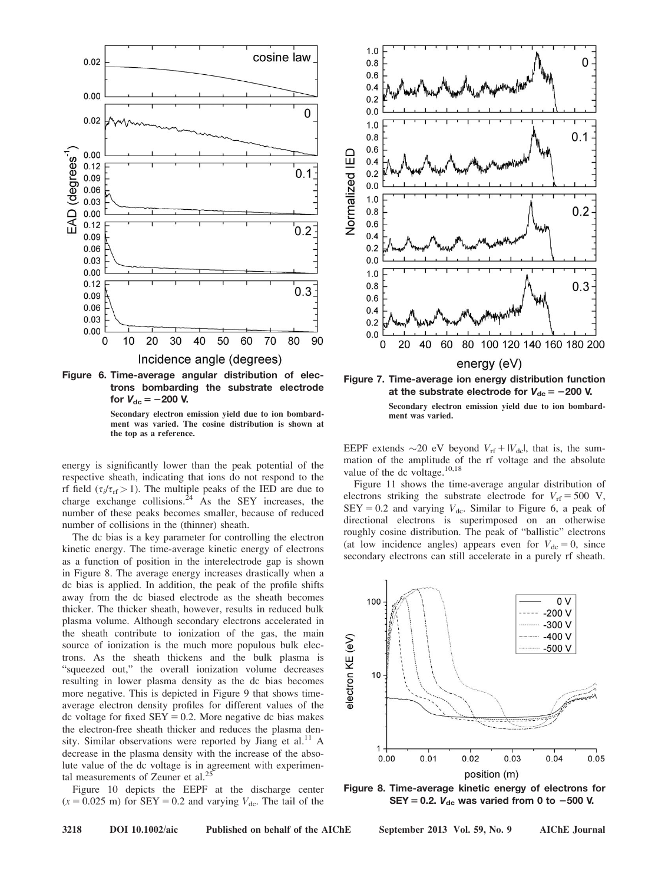

Secondary electron emission yield due to ion bombardment was varied. The cosine distribution is shown at the top as a reference.

energy is significantly lower than the peak potential of the respective sheath, indicating that ions do not respond to the rf field ( $\tau_i/\tau_{\text{rf}} > 1$ ). The multiple peaks of the IED are due to charge exchange collisions.<sup>24</sup> As the SEY increases, the number of these peaks becomes smaller, because of reduced number of collisions in the (thinner) sheath.

The dc bias is a key parameter for controlling the electron kinetic energy. The time-average kinetic energy of electrons as a function of position in the interelectrode gap is shown in Figure 8. The average energy increases drastically when a dc bias is applied. In addition, the peak of the profile shifts away from the dc biased electrode as the sheath becomes thicker. The thicker sheath, however, results in reduced bulk plasma volume. Although secondary electrons accelerated in the sheath contribute to ionization of the gas, the main source of ionization is the much more populous bulk electrons. As the sheath thickens and the bulk plasma is "squeezed out," the overall ionization volume decreases resulting in lower plasma density as the dc bias becomes more negative. This is depicted in Figure 9 that shows timeaverage electron density profiles for different values of the dc voltage for fixed  $SEY = 0.2$ . More negative dc bias makes the electron-free sheath thicker and reduces the plasma density. Similar observations were reported by Jiang et al.<sup>11</sup> A decrease in the plasma density with the increase of the absolute value of the dc voltage is in agreement with experimental measurements of Zeuner et al. $^{25}$ 

Figure 10 depicts the EEPF at the discharge center  $(x = 0.025 \text{ m})$  for SEY = 0.2 and varying  $V_{\text{dc}}$ . The tail of the



Secondary electron emission yield due to ion bombardment was varied.

EEPF extends  $\sim$ 20 eV beyond  $V_{\text{rf}}$  + |V<sub>dc</sub>|, that is, the summation of the amplitude of the rf voltage and the absolute value of the dc voltage.<sup>10,18</sup>

Figure 11 shows the time-average angular distribution of electrons striking the substrate electrode for  $V_{\text{rf}} = 500 \text{ V}$ ,  $SEY = 0.2$  and varying  $V_{dc}$ . Similar to Figure 6, a peak of directional electrons is superimposed on an otherwise roughly cosine distribution. The peak of "ballistic" electrons (at low incidence angles) appears even for  $V_{dc} = 0$ , since secondary electrons can still accelerate in a purely rf sheath.



Figure 8. Time-average kinetic energy of electrons for SEY = 0.2.  $V_{dc}$  was varied from 0 to -500 V.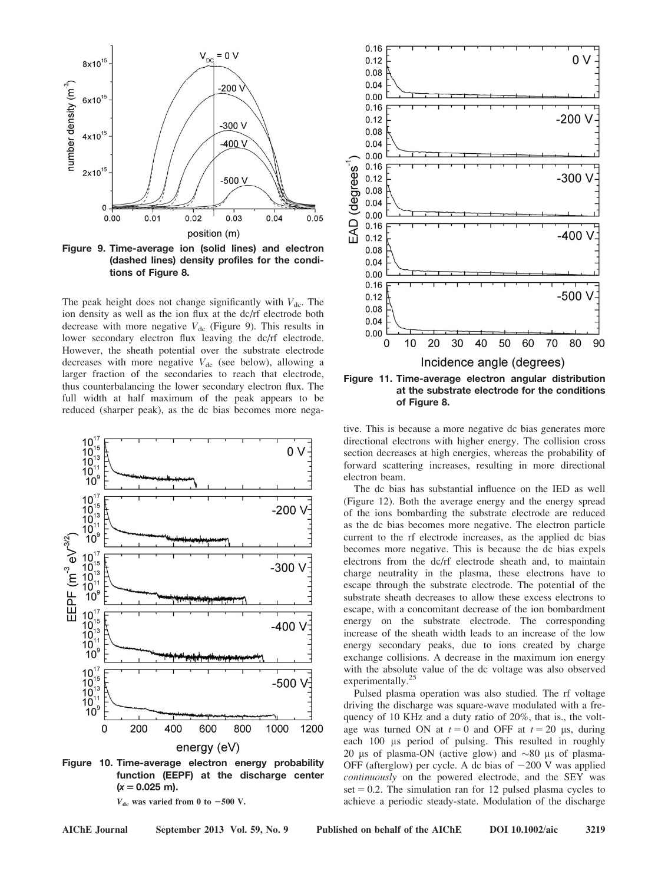

Figure 9. Time-average ion (solid lines) and electron (dashed lines) density profiles for the conditions of Figure 8.

The peak height does not change significantly with  $V_{dc}$ . The ion density as well as the ion flux at the dc/rf electrode both decrease with more negative  $V_{dc}$  (Figure 9). This results in lower secondary electron flux leaving the dc/rf electrode. However, the sheath potential over the substrate electrode decreases with more negative  $V_{dc}$  (see below), allowing a larger fraction of the secondaries to reach that electrode, thus counterbalancing the lower secondary electron flux. The full width at half maximum of the peak appears to be reduced (sharper peak), as the dc bias becomes more nega-



Figure 10. Time-average electron energy probability function (EEPF) at the discharge center  $(x = 0.025$  m).

 $V_{\text{dc}}$  was varied from 0 to -500 V.



at the substrate electrode for the conditions of Figure 8.

tive. This is because a more negative dc bias generates more directional electrons with higher energy. The collision cross section decreases at high energies, whereas the probability of forward scattering increases, resulting in more directional electron beam.

The dc bias has substantial influence on the IED as well (Figure 12). Both the average energy and the energy spread of the ions bombarding the substrate electrode are reduced as the dc bias becomes more negative. The electron particle current to the rf electrode increases, as the applied dc bias becomes more negative. This is because the dc bias expels electrons from the dc/rf electrode sheath and, to maintain charge neutrality in the plasma, these electrons have to escape through the substrate electrode. The potential of the substrate sheath decreases to allow these excess electrons to escape, with a concomitant decrease of the ion bombardment energy on the substrate electrode. The corresponding increase of the sheath width leads to an increase of the low energy secondary peaks, due to ions created by charge exchange collisions. A decrease in the maximum ion energy with the absolute value of the dc voltage was also observed experimentally.<sup>25</sup>

Pulsed plasma operation was also studied. The rf voltage driving the discharge was square-wave modulated with a frequency of 10 KHz and a duty ratio of 20%, that is., the voltage was turned ON at  $t = 0$  and OFF at  $t = 20$  µs, during each 100 us period of pulsing. This resulted in roughly 20  $\mu$ s of plasma-ON (active glow) and  $\sim$ 80  $\mu$ s of plasma-OFF (afterglow) per cycle. A dc bias of  $-200$  V was applied continuously on the powered electrode, and the SEY was set  $= 0.2$ . The simulation ran for 12 pulsed plasma cycles to achieve a periodic steady-state. Modulation of the discharge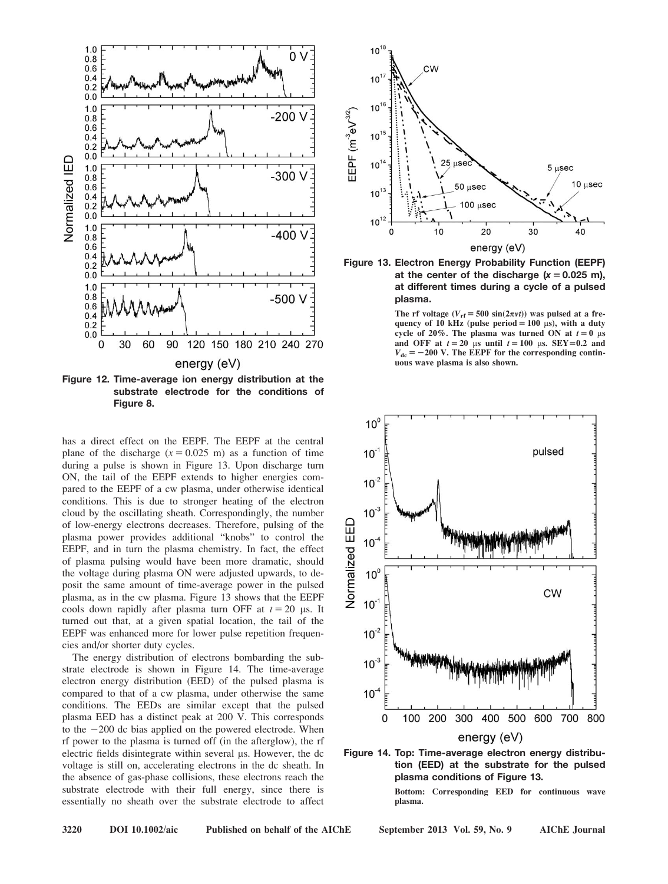

substrate electrode for the conditions of Figure 8.

has a direct effect on the EEPF. The EEPF at the central plane of the discharge  $(x = 0.025 \text{ m})$  as a function of time during a pulse is shown in Figure 13. Upon discharge turn ON, the tail of the EEPF extends to higher energies compared to the EEPF of a cw plasma, under otherwise identical conditions. This is due to stronger heating of the electron cloud by the oscillating sheath. Correspondingly, the number of low-energy electrons decreases. Therefore, pulsing of the plasma power provides additional "knobs" to control the EEPF, and in turn the plasma chemistry. In fact, the effect of plasma pulsing would have been more dramatic, should the voltage during plasma ON were adjusted upwards, to deposit the same amount of time-average power in the pulsed plasma, as in the cw plasma. Figure 13 shows that the EEPF cools down rapidly after plasma turn OFF at  $t = 20$  µs. It turned out that, at a given spatial location, the tail of the EEPF was enhanced more for lower pulse repetition frequencies and/or shorter duty cycles.

The energy distribution of electrons bombarding the substrate electrode is shown in Figure 14. The time-average electron energy distribution (EED) of the pulsed plasma is compared to that of a cw plasma, under otherwise the same conditions. The EEDs are similar except that the pulsed plasma EED has a distinct peak at 200 V. This corresponds to the  $-200$  dc bias applied on the powered electrode. When rf power to the plasma is turned off (in the afterglow), the rf electric fields disintegrate within several µs. However, the dc voltage is still on, accelerating electrons in the dc sheath. In the absence of gas-phase collisions, these electrons reach the substrate electrode with their full energy, since there is essentially no sheath over the substrate electrode to affect





The rf voltage ( $V_{\text{rf}} = 500 \sin(2\pi vt)$ ) was pulsed at a frequency of 10 kHz (pulse period =  $100 \mu s$ ), with a duty cycle of 20%. The plasma was turned ON at  $t = 0$  us and OFF at  $t = 20$  µs until  $t = 100$  µs. SEY=0.2 and  $V_{\text{dc}} = -200$  V. The EEPF for the corresponding continuous wave plasma is also shown.



Figure 14. Top: Time-average electron energy distribution (EED) at the substrate for the pulsed plasma conditions of Figure 13.

Bottom: Corresponding EED for continuous wave plasma.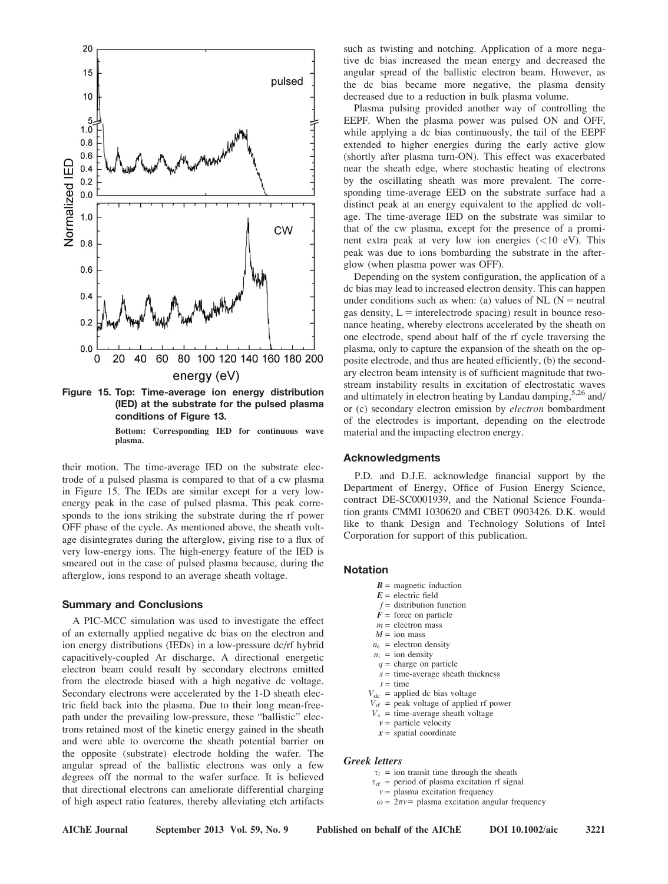

Figure 15. Top: Time-average ion energy distribution (IED) at the substrate for the pulsed plasma conditions of Figure 13.

Bottom: Corresponding IED for continuous wave plasma.

their motion. The time-average IED on the substrate electrode of a pulsed plasma is compared to that of a cw plasma in Figure 15. The IEDs are similar except for a very lowenergy peak in the case of pulsed plasma. This peak corresponds to the ions striking the substrate during the rf power OFF phase of the cycle. As mentioned above, the sheath voltage disintegrates during the afterglow, giving rise to a flux of very low-energy ions. The high-energy feature of the IED is smeared out in the case of pulsed plasma because, during the afterglow, ions respond to an average sheath voltage.

## Summary and Conclusions

A PIC-MCC simulation was used to investigate the effect of an externally applied negative dc bias on the electron and ion energy distributions (IEDs) in a low-pressure dc/rf hybrid capacitively-coupled Ar discharge. A directional energetic electron beam could result by secondary electrons emitted from the electrode biased with a high negative dc voltage. Secondary electrons were accelerated by the 1-D sheath electric field back into the plasma. Due to their long mean-freepath under the prevailing low-pressure, these "ballistic" electrons retained most of the kinetic energy gained in the sheath and were able to overcome the sheath potential barrier on the opposite (substrate) electrode holding the wafer. The angular spread of the ballistic electrons was only a few degrees off the normal to the wafer surface. It is believed that directional electrons can ameliorate differential charging of high aspect ratio features, thereby alleviating etch artifacts

such as twisting and notching. Application of a more negative dc bias increased the mean energy and decreased the angular spread of the ballistic electron beam. However, as the dc bias became more negative, the plasma density decreased due to a reduction in bulk plasma volume.

Plasma pulsing provided another way of controlling the EEPF. When the plasma power was pulsed ON and OFF, while applying a dc bias continuously, the tail of the EEPF extended to higher energies during the early active glow (shortly after plasma turn-ON). This effect was exacerbated near the sheath edge, where stochastic heating of electrons by the oscillating sheath was more prevalent. The corresponding time-average EED on the substrate surface had a distinct peak at an energy equivalent to the applied dc voltage. The time-average IED on the substrate was similar to that of the cw plasma, except for the presence of a prominent extra peak at very low ion energies  $(<10 eV)$ . This peak was due to ions bombarding the substrate in the afterglow (when plasma power was OFF).

Depending on the system configuration, the application of a dc bias may lead to increased electron density. This can happen under conditions such as when: (a) values of NL ( $N =$  neutral gas density,  $L =$  interelectrode spacing) result in bounce resonance heating, whereby electrons accelerated by the sheath on one electrode, spend about half of the rf cycle traversing the plasma, only to capture the expansion of the sheath on the opposite electrode, and thus are heated efficiently, (b) the secondary electron beam intensity is of sufficient magnitude that twostream instability results in excitation of electrostatic waves and ultimately in electron heating by Landau damping,  $5.26$  and/ or (c) secondary electron emission by electron bombardment of the electrodes is important, depending on the electrode material and the impacting electron energy.

## Acknowledgments

P.D. and D.J.E. acknowledge financial support by the Department of Energy, Office of Fusion Energy Science, contract DE-SC0001939, and the National Science Foundation grants CMMI 1030620 and CBET 0903426. D.K. would like to thank Design and Technology Solutions of Intel Corporation for support of this publication.

## Notation

- $B =$  magnetic induction  $E =$  electric field
- $f =$  distribution function
- $F =$  force on particle
- $m =$  electron mass
- $M =$ ion mass
- $n_e$  = electron density
- $n_i$  = ion density
- $q$  = charge on particle
- $s =$  time-average sheath thickness
- $t =$  time
- $V_{\text{dc}}$  = applied dc bias voltage
- $V_{\text{rf}}$  = peak voltage of applied rf power
- $V<sub>s</sub>$  = time-average sheath voltage
- $v =$  particle velocity
- $x =$ spatial coordinate

#### Greek letters

- $\tau_i$  = ion transit time through the sheath
- $\tau_{\text{rf}}$  = period of plasma excitation rf signal
- $v =$  plasma excitation frequency
- $\omega = 2\pi v =$  plasma excitation angular frequency

AIChE Journal September 2013 Vol. 59, No. 9 Published on behalf of the AIChE DOI 10.1002/aic 3221